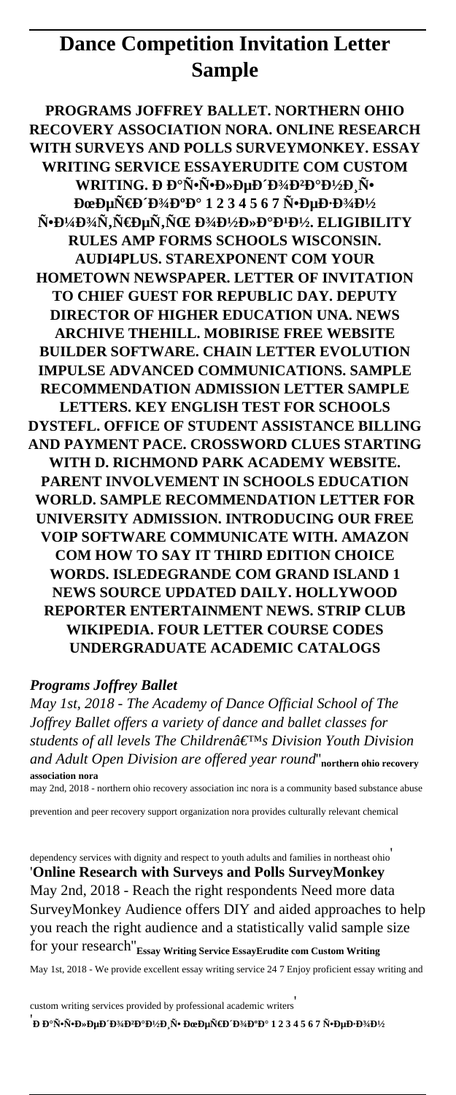# **Dance Competition Invitation Letter Sample**

**PROGRAMS JOFFREY BALLET. NORTHERN OHIO RECOVERY ASSOCIATION NORA. ONLINE RESEARCH WITH SURVEYS AND POLLS SURVEYMONKEY. ESSAY WRITING SERVICE ESSAYERUDITE COM CUSTOM WRITING. Ð Đ°Ñ•Ñ•Ð»ÐµÐ Đ¾Đ**ªĐºĐ½Ð Ñ• **ĐœĐµÑ€Đ´Đ¾ĐºĐ° 1 2 3 4 5 6 7 Ñ•ĐµĐ∙Đ¾Đ½** ѕмоÑ,реÑ,ÑŒ Đ¾Ð½Ð»Ð°Ð4н. ELIGIBILITY **RULES AMP FORMS SCHOOLS WISCONSIN. AUDI4PLUS. STAREXPONENT COM YOUR HOMETOWN NEWSPAPER. LETTER OF INVITATION TO CHIEF GUEST FOR REPUBLIC DAY. DEPUTY DIRECTOR OF HIGHER EDUCATION UNA. NEWS ARCHIVE THEHILL. MOBIRISE FREE WEBSITE BUILDER SOFTWARE. CHAIN LETTER EVOLUTION IMPULSE ADVANCED COMMUNICATIONS. SAMPLE RECOMMENDATION ADMISSION LETTER SAMPLE LETTERS. KEY ENGLISH TEST FOR SCHOOLS DYSTEFL. OFFICE OF STUDENT ASSISTANCE BILLING AND PAYMENT PACE. CROSSWORD CLUES STARTING WITH D. RICHMOND PARK ACADEMY WEBSITE. PARENT INVOLVEMENT IN SCHOOLS EDUCATION WORLD. SAMPLE RECOMMENDATION LETTER FOR UNIVERSITY ADMISSION. INTRODUCING OUR FREE VOIP SOFTWARE COMMUNICATE WITH. AMAZON COM HOW TO SAY IT THIRD EDITION CHOICE WORDS. ISLEDEGRANDE COM GRAND ISLAND 1 NEWS SOURCE UPDATED DAILY. HOLLYWOOD REPORTER ENTERTAINMENT NEWS. STRIP CLUB WIKIPEDIA. FOUR LETTER COURSE CODES UNDERGRADUATE ACADEMIC CATALOGS**

#### *Programs Joffrey Ballet*

*May 1st, 2018 - The Academy of Dance Official School of The Joffrey Ballet offers a variety of dance and ballet classes for students of all levels The Children's Division Youth Division and Adult Open Division are offered year round*''**northern ohio recovery association nora**

may 2nd, 2018 - northern ohio recovery association inc nora is a community based substance abuse

prevention and peer recovery support organization nora provides culturally relevant chemical

dependency services with dignity and respect to youth adults and families in northeast ohio' '**Online Research with Surveys and Polls SurveyMonkey** May 2nd, 2018 - Reach the right respondents Need more data SurveyMonkey Audience offers DIY and aided approaches to help you reach the right audience and a statistically valid sample size for your research''**Essay Writing Service EssayErudite com Custom Writing** May 1st, 2018 - We provide excellent essay writing service 24 7 Enjoy proficient essay writing and

custom writing services provided by professional academic writers' '<br>**Đ** аѕѕĐ»ĐμĐ´Đ¾Đ<del>?</del>D½Đ¸Ñ• ĐœĐμÑ€Đ´Đ¾Đ°Đ° 1 2 3 4 5 6 7 Ñ•ĐμĐ·Đ¾D½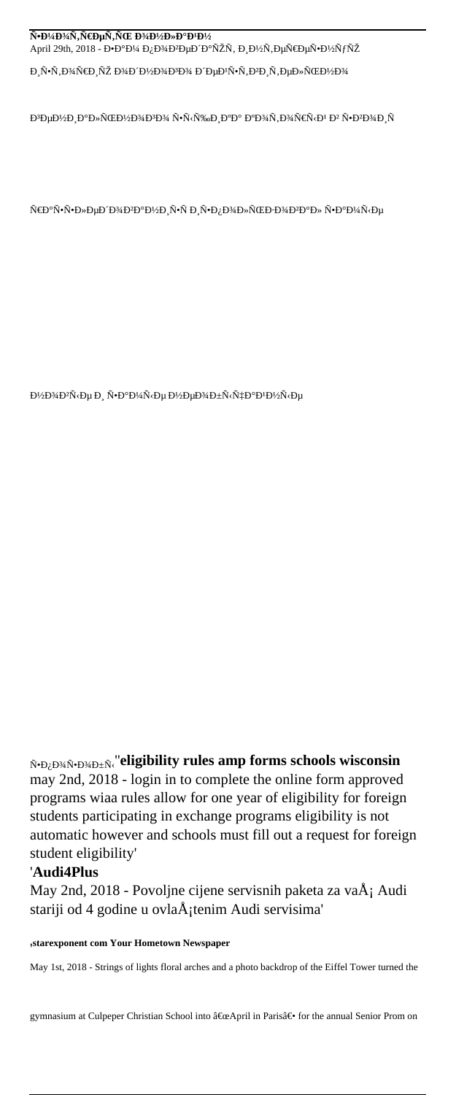#### Ñ•моÑ,реÑ,ÑŒ оÐ1⁄zлаÐ<sup>1</sup>Ð1⁄2  $\text{April 29th, 2018 - D} \cdot \text{D} \cdot \text{D} \cdot \text{A} \cdot \text{D}_i \cdot \text{D} \cdot \text{A} \cdot \text{D} \cdot \text{D} \cdot \text{D} \cdot \text{A} \cdot \text{B} \cdot \text{D} \cdot \text{A} \cdot \text{B} \cdot \text{A} \cdot \text{B} \cdot \text{A} \cdot \text{B} \cdot \text{B} \cdot \text{A} \cdot \text{B} \cdot \text{B} \cdot \text{A} \cdot \text{B} \cdot \text{B} \cdot \text{A} \cdot \text{B} \cdot \text{B} \cdot \text{B$

иѕторию одного дейѕтвительно

 $\mathrm{D}^3\mathrm{D}\mu\mathrm{D}\text{/}\mathrm{D}\cdot\mathrm{D}^\mathrm{o}\mathrm{D}\nu\mathrm{N}\times\mathrm{D}\text{/}\mathrm{D}^{\mathrm{s}}\mathrm{D}\text{/}\mathrm{D}^{\mathrm{s}}\mathrm{D}\text{/}\mathrm{N}\cdot\mathrm{N}\cdot\mathrm{N}\nu\mathrm{N}\cdot\mathrm{N}\cdot\mathrm{D}\cdot\mathrm{D}^\mathrm{o}\mathrm{D}^\mathrm{o}\mathrm{D}^\mathrm{o}\mathrm{D}^\mathrm{s}\mathrm{M}\cdot\mathrm{N}\cdot\mathrm{D}^{\mathrm{s}}\mathrm{N}\cdot\mathrm{N}\cdot\mathrm{D}^\mathrm{s}\mathrm{D}\cdot\mathrm{N}\cdot\mathrm{D}^\mathrm{s}\mathrm{$ 

раѕѕÐ»ÐµÐ^оЪаниÑ•Ñ Ð¸Ñ•Đ¿Ð¾Ð»ÑŒÐ∙оЪал Ñ•Đ°Ð¼Ñ‹Ðµ

 $-1$ θ<sup>1</sup>/<sub>2</sub>D<sup>3</sup>/<sub>4</sub>D<sup>2</sup>Ñ · Đμ Đ<sub>3</sub> Ñ • Đ<sup>0</sup>Đ<sup>1</sup>/4Ñ · Đμ Đ<sup>1</sup>/2ĐμD<sup>3</sup>/aбÑ · чĐ<sup>0</sup>Đ<sup>1</sup>Đ<sup>1</sup>/2Ñ · Đμ

 $\tilde{N}$ <sup>+</sup> $D_{\tilde{G}}D$ <sup>3</sup> $\tilde{A}N$ <sup>-</sup> $D_{\tilde{G}}D_{\tilde{G}}N$ <sup>-</sup>'eligibility rules amp forms schools wisconsin may 2nd, 2018 - login in to complete the online form approved programs wiaa rules allow for one year of eligibility for foreign students participating in exchange programs eligibility is not automatic however and schools must fill out a request for foreign student eligibility'

### '**Audi4Plus**

May 2nd, 2018 - Povoljne cijene servisnih paketa za va $\AA$ ; Audi stariji od 4 godine u ovla $\ddot{A}$ <sub>i</sub>tenim Audi servisima'

'**starexponent com Your Hometown Newspaper**

May 1st, 2018 - Strings of lights floral arches and a photo backdrop of the Eiffel Tower turned the

gymnasium at Culpeper Christian School into "April in Paris― for the annual Senior Prom on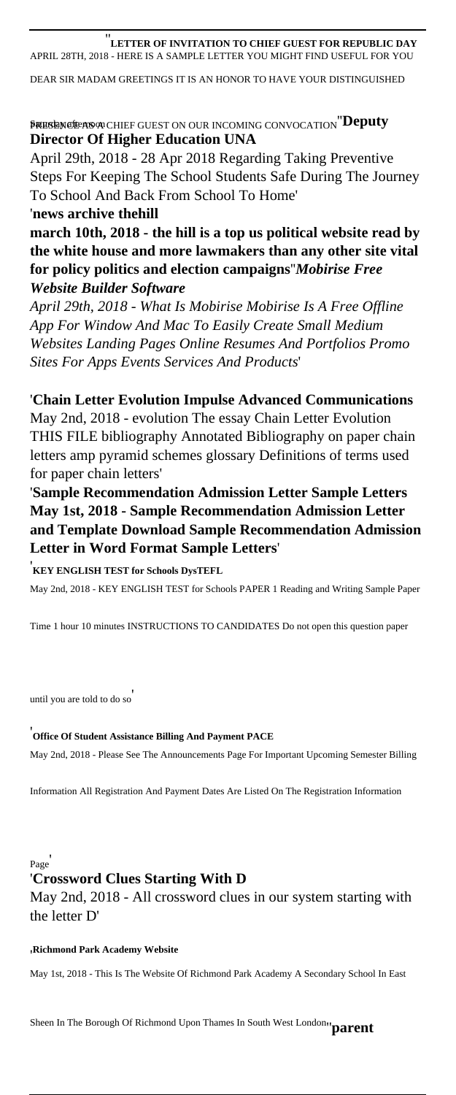#### ''**LETTER OF INVITATION TO CHIEF GUEST FOR REPUBLIC DAY** APRIL 28TH, 2018 - HERE IS A SAMPLE LETTER YOU MIGHT FIND USEFUL FOR YOU

DEAR SIR MADAM GREETINGS IT IS AN HONOR TO HAVE YOUR DISTINGUISHED

#### $\beta$ resencie as a chief guest on our incoming convocation  $\mathrm{``Deputy}$ **Director Of Higher Education UNA**

April 29th, 2018 - 28 Apr 2018 Regarding Taking Preventive Steps For Keeping The School Students Safe During The Journey To School And Back From School To Home'

#### '**news archive thehill**

**march 10th, 2018 - the hill is a top us political website read by the white house and more lawmakers than any other site vital for policy politics and election campaigns**''*Mobirise Free Website Builder Software*

*April 29th, 2018 - What Is Mobirise Mobirise Is A Free Offline App For Window And Mac To Easily Create Small Medium Websites Landing Pages Online Resumes And Portfolios Promo Sites For Apps Events Services And Products*'

#### '**Chain Letter Evolution Impulse Advanced Communications**

May 2nd, 2018 - evolution The essay Chain Letter Evolution THIS FILE bibliography Annotated Bibliography on paper chain letters amp pyramid schemes glossary Definitions of terms used for paper chain letters'

'**Sample Recommendation Admission Letter Sample Letters May 1st, 2018 - Sample Recommendation Admission Letter and Template Download Sample Recommendation Admission Letter in Word Format Sample Letters**'

#### '**KEY ENGLISH TEST for Schools DysTEFL**

May 2nd, 2018 - KEY ENGLISH TEST for Schools PAPER 1 Reading and Writing Sample Paper

Time 1 hour 10 minutes INSTRUCTIONS TO CANDIDATES Do not open this question paper

until you are told to do so'

#### '**Office Of Student Assistance Billing And Payment PACE**

May 2nd, 2018 - Please See The Announcements Page For Important Upcoming Semester Billing

Information All Registration And Payment Dates Are Listed On The Registration Information

Page'

#### '**Crossword Clues Starting With D**

May 2nd, 2018 - All crossword clues in our system starting with the letter D'

#### '**Richmond Park Academy Website**

May 1st, 2018 - This Is The Website Of Richmond Park Academy A Secondary School In East